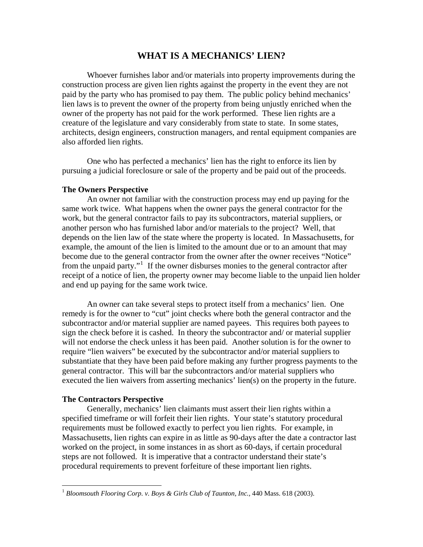## **WHAT IS A MECHANICS' LIEN?**

 Whoever furnishes labor and/or materials into property improvements during the construction process are given lien rights against the property in the event they are not paid by the party who has promised to pay them. The public policy behind mechanics' lien laws is to prevent the owner of the property from being unjustly enriched when the owner of the property has not paid for the work performed. These lien rights are a creature of the legislature and vary considerably from state to state. In some states, architects, design engineers, construction managers, and rental equipment companies are also afforded lien rights.

 One who has perfected a mechanics' lien has the right to enforce its lien by pursuing a judicial foreclosure or sale of the property and be paid out of the proceeds.

## **The Owners Perspective**

 An owner not familiar with the construction process may end up paying for the same work twice. What happens when the owner pays the general contractor for the work, but the general contractor fails to pay its subcontractors, material suppliers, or another person who has furnished labor and/or materials to the project? Well, that depends on the lien law of the state where the property is located. In Massachusetts, for example, the amount of the lien is limited to the amount due or to an amount that may become due to the general contractor from the owner after the owner receives "Notice" from the unpaid party."<sup>[1](#page-0-0)</sup> If the owner disburses monies to the general contractor after receipt of a notice of lien, the property owner may become liable to the unpaid lien holder and end up paying for the same work twice.

 An owner can take several steps to protect itself from a mechanics' lien. One remedy is for the owner to "cut" joint checks where both the general contractor and the subcontractor and/or material supplier are named payees. This requires both payees to sign the check before it is cashed. In theory the subcontractor and/ or material supplier will not endorse the check unless it has been paid. Another solution is for the owner to require "lien waivers" be executed by the subcontractor and/or material suppliers to substantiate that they have been paid before making any further progress payments to the general contractor. This will bar the subcontractors and/or material suppliers who executed the lien waivers from asserting mechanics' lien(s) on the property in the future.

## **The Contractors Perspective**

 $\overline{a}$ 

 Generally, mechanics' lien claimants must assert their lien rights within a specified timeframe or will forfeit their lien rights. Your state's statutory procedural requirements must be followed exactly to perfect you lien rights. For example, in Massachusetts, lien rights can expire in as little as 90-days after the date a contractor last worked on the project, in some instances in as short as 60-days, if certain procedural steps are not followed. It is imperative that a contractor understand their state's procedural requirements to prevent forfeiture of these important lien rights.

<span id="page-0-0"></span><sup>&</sup>lt;sup>1</sup> Bloomsouth Flooring Corp. v. Boys & Girls Club of Taunton, Inc., 440 Mass. 618 (2003).